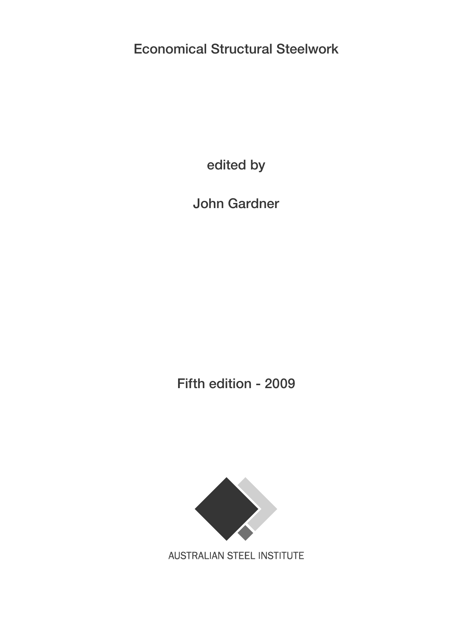**Economical Structural Steelwork**

**edited by**

**John Gardner**

**Fifth edition - 2009**



**AUSTRALIAN STEEL INSTITUTE**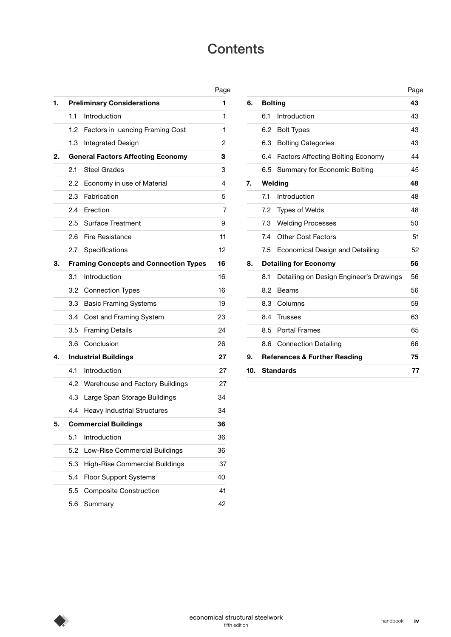# **Contents**

|    |                                              |                                       | Page |  |  |
|----|----------------------------------------------|---------------------------------------|------|--|--|
| 1. |                                              | <b>Preliminary Considerations</b>     | 1    |  |  |
|    | 1.1                                          | Introduction                          | 1    |  |  |
|    | 1.2                                          | Factors in uencing Framing Cost       | 1    |  |  |
|    | 1.3                                          | Integrated Design                     | 2    |  |  |
| 2. | <b>General Factors Affecting Economy</b>     |                                       |      |  |  |
|    | 2.1                                          | <b>Steel Grades</b>                   | 3    |  |  |
|    | 2.2                                          | Economy in use of Material            | 4    |  |  |
|    | 2.3                                          | Fabrication                           | 5    |  |  |
|    | 2.4                                          | Erection                              | 7    |  |  |
|    | $2.5\,$                                      | Surface Treatment                     | 9    |  |  |
|    | 2.6                                          | <b>Fire Resistance</b>                | 11   |  |  |
|    | 2.7                                          | Specifications                        | 12   |  |  |
| З. | <b>Framing Concepts and Connection Types</b> |                                       |      |  |  |
|    | 3.1                                          | Introduction                          | 16   |  |  |
|    | 3.2                                          | <b>Connection Types</b>               | 16   |  |  |
|    | 3.3                                          | <b>Basic Framing Systems</b>          | 19   |  |  |
|    | 3.4                                          | Cost and Framing System               | 23   |  |  |
|    | 3.5                                          | <b>Framing Details</b>                | 24   |  |  |
|    | 3.6                                          | Conclusion                            | 26   |  |  |
| 4. | <b>Industrial Buildings</b>                  |                                       |      |  |  |
|    | 4.1                                          | Introduction                          | 27   |  |  |
|    | 4.2                                          | Warehouse and Factory Buildings       | 27   |  |  |
|    | 4.3                                          | Large Span Storage Buildings          | 34   |  |  |
|    | 4.4                                          | <b>Heavy Industrial Structures</b>    | 34   |  |  |
| 5. | <b>Commercial Buildings</b>                  |                                       |      |  |  |
|    | 5.1                                          | Introduction                          | 36   |  |  |
|    | 5.2                                          | Low-Rise Commercial Buildings         | 36   |  |  |
|    | 5.3                                          | <b>High-Rise Commercial Buildings</b> | 37   |  |  |
|    | 5.4                                          | <b>Floor Support Systems</b>          | 40   |  |  |
|    | 5.5                                          | <b>Composite Construction</b>         | 41   |  |  |
|    | 5.6                                          | Summary                               | 42   |  |  |

| Page |     |                                                | Page |  |
|------|-----|------------------------------------------------|------|--|
| 1    | 6.  | <b>Bolting</b>                                 | 43   |  |
| 1    |     | Introduction<br>6.1                            | 43   |  |
| 1    |     | 6.2<br><b>Bolt Types</b>                       | 43   |  |
| 2    |     | 6.3<br><b>Bolting Categories</b>               | 43   |  |
| 3    |     | Factors Affecting Bolting Economy<br>6.4       | 44   |  |
| 3    |     | 6.5<br>Summary for Economic Bolting            | 45   |  |
| 4    | 7.  | Welding                                        |      |  |
| 5    |     | 7.1<br>Introduction                            | 48   |  |
| 7    |     | 7.2<br><b>Types of Welds</b>                   | 48   |  |
| 9    |     | 7.3<br><b>Welding Processes</b>                | 50   |  |
| 11   |     | <b>Other Cost Factors</b><br>7.4               | 51   |  |
| 12   |     | 7.5<br>Economical Design and Detailing         | 52   |  |
| 16   | 8.  | <b>Detailing for Economy</b><br>56             |      |  |
| 16   |     | Detailing on Design Engineer's Drawings<br>8.1 | 56   |  |
| 16   |     | 8.2<br><b>Beams</b>                            | 56   |  |
| 19   |     | 8.3<br>Columns                                 | 59   |  |
| 23   |     | 8.4<br><b>Trusses</b>                          | 63   |  |
| 24   |     | <b>Portal Frames</b><br>8.5                    | 65   |  |
| 26   |     | <b>Connection Detailing</b><br>8.6             | 66   |  |
| 27   | 9.  | <b>References &amp; Further Reading</b><br>75  |      |  |
| 27   | 10. | <b>Standards</b>                               | 77   |  |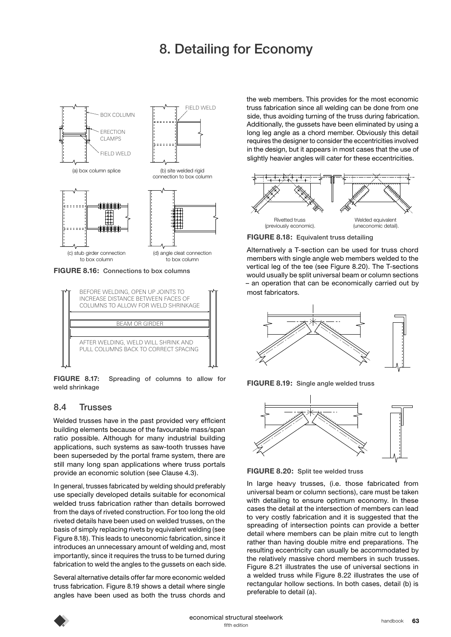# **8. Detailing for Economy**



AFTER WELDING, WELD WILL SHRINK AND PULL COLUMNS BACK TO CORRECT SPACING

**FIGURE 8.17: Spreading of columns to allow for weld shrinkage** 

#### **8.4 Trusses**

Welded trusses have in the past provided very efflcient building elements because of the favourable mass/span ratio possible. Although for many industrial building applications, such systems as saw-tooth trusses have been superseded by the portal frame system, there are still many long span applications where truss portals provide an economic solution (see Clause 4.3).

In general, trusses fabricated by welding should preferably use specially developed details suitable for economical welded truss fabrication rather than details borrowed from the days of riveted construction. For too long the old riveted details have been used on welded trusses, on the basis of simply replacing rivets by equivalent welding (see Figure 8.18). This leads to uneconomic fabrication, since it introduces an unnecessary amount of welding and, most importantly, since it requires the truss to be turned during fabrication to weld the angles to the gussets on each side.

Several alternative details offer far more economic welded truss fabrication. Figure 8.19 shows a detail where single angles have been used as both the truss chords and the web members. This provides for the most economic truss fabrication since all welding can be done from one side, thus avoiding turning of the truss during fabrication. Additionally, the gussets have been eliminated by using a long leg angle as a chord member. Obviously this detail requires the designer to consider the eccentricities involved in the design, but it appears in most cases that the use of slightly heavier angles will cater for these eccentricities.



**FIGURE 8.18: Equivalent truss detailing** 

Alternatively a T-section can be used for truss chord members with single angle web members welded to the vertical leg of the tee (see Figure 8.20). The T-sections would usually be split universal beam or column sections - an operation that can be economically carried out by most fabricators.







**FIGURE 8.20: Split tee welded truss**

In large heavy trusses, (i.e. those fabricated from universal beam or column sections), care must be taken with detailing to ensure optimum economy. In these cases the detail at the intersection of members can lead to very costly fabrication and it is suggested that the spreading of intersection points can provide a better detail where members can be plain mitre cut to length rather than having double mitre end preparations. The resulting eccentricity can usually be accommodated by the relatively massive chord members in such trusses. Figure 8.21 illustrates the use of universal sections in a welded truss while Figure 8.22 illustrates the use of rectangular hollow sections. In both cases, detail (b) is preferable to detail (a).

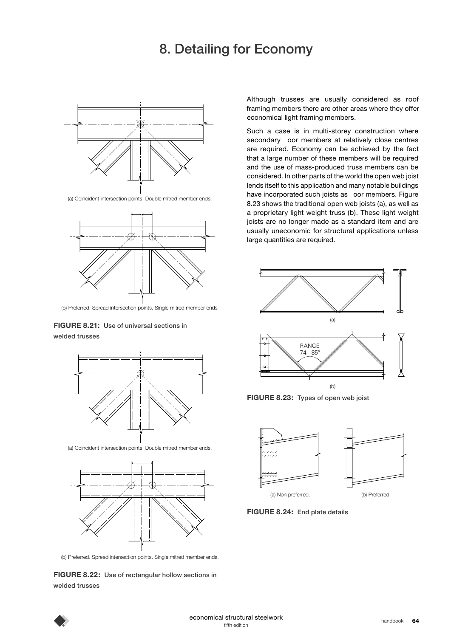## **8. Detailing for Economy**



(a) Coincident intersection points. Double mitred member ends.



(b) Preferred. Spread intersection points. Single mitred member ends

**FIGURE 8.21: Use of universal sections in welded trusses**



(a) Coincident intersection points. Double mitred member ends.



(b) Preferred. Spread intersection points. Single mitred member ends.

**FIGURE 8.22: Use of rectangular hollow sections in welded trusses**

Although trusses are usually considered as roof framing members there are other areas where they offer economical light framing members.

Such a case is in multi-storey construction where secondary oor members at relatively close centres are required. Economy can be achieved by the fact that a large number of these members will be required and the use of mass-produced truss members can be considered. In other parts of the world the open web joist lends itself to this application and many notable buildings have incorporated such joists as oor members. Figure 8.23 shows the traditional open web joists (a), as well as a proprietary light weight truss (b). These light weight joists are no longer made as a standard item and are usually uneconomic for structural applications unless large quantities are required.



**FIGURE 8.23: Types of open web joist** 



**FIGURE 8.24: End plate details**